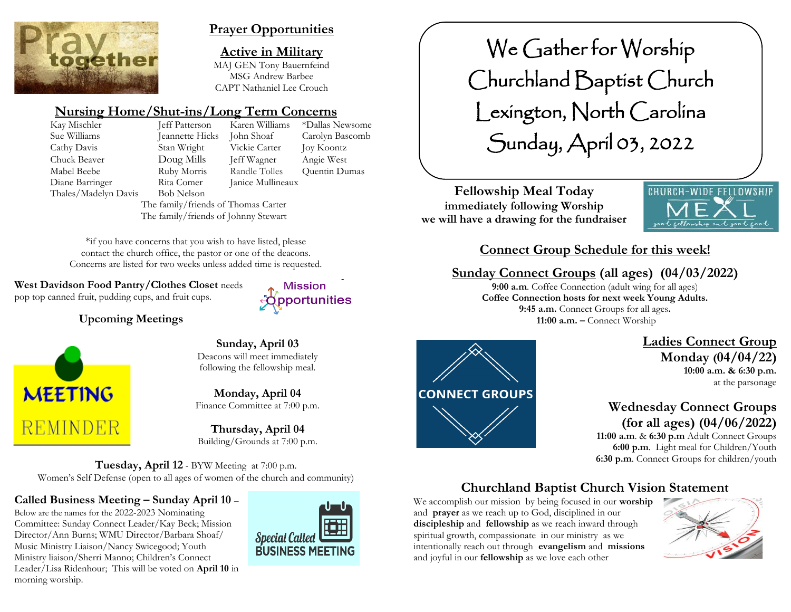

## **Prayer Opportunities**

**Active in Military** MAJ GEN Tony Bauernfeind MSG Andrew Barbee CAPT Nathaniel Lee Crouch

# **Nursing Home/Shut-ins/Long Term Concerns**

Kay Mischler Jeff Patterson Karen Williams \*Dallas Newsome Thales/Madelyn Davis Bob Nelson

Sue Williams Jeannette Hicks John Shoaf Carolyn Bascomb Cathy Davis Stan Wright Vickie Carter Joy Koontz Chuck Beaver Doug Mills Jeff Wagner Angie West Mabel Beebe **Ruby Morris** Randle Tolles Ouentin Dumas Diane Barringer Rita Comer Janice Mullineaux

**Mission Copportunities** 

The family/friends of Thomas Carter The family/friends of Johnny Stewart

\*if you have concerns that you wish to have listed, please contact the church office, the pastor or one of the deacons. Concerns are listed for two weeks unless added time is requested.

**West Davidson Food Pantry/Clothes Closet** needs pop top canned fruit, pudding cups, and fruit cups.

**Upcoming Meetings**



**Sunday, April 03** Deacons will meet immediately following the fellowship meal.

**Monday, April 04** Finance Committee at 7:00 p.m.

**Thursday, April 04** Building/Grounds at 7:00 p.m.

**Tuesday, April 12** - BYW Meeting at 7:00 p.m. Women's Self Defense (open to all ages of women of the church and community)

**Called Business Meeting – Sunday April 10** –

Below are the names for the 2022-2023 Nominating Committee: Sunday Connect Leader/Kay Beck; Mission Director/Ann Burns; WMU Director/Barbara Shoaf/ Music Ministry Liaison/Nancy Swicegood; Youth Ministry liaison/Sherri Manno; Children's Connect Leader/Lisa Ridenhour; This will be voted on **April 10** in morning worship.



We Gather for Worship Churchland Baptist Church Lexington, North Carolina Sunday, April 03, 2022

**Fellowship Meal Today immediately following Worship we will have a drawing for the fundraiser**



# **Connect Group Schedule for this week!**

# **Sunday Connect Groups (all ages) (04/03/2022)**

**9:00 a.m**. Coffee Connection (adult wing for all ages) **Coffee Connection hosts for next week Young Adults. 9:45 a.m.** Connect Groups for all ages**. 11:00 a.m. –** Connect Worship



 **Ladies Connect Group Monday (04/04/22) 10:00 a.m. & 6:30 p.m.** at the parsonage

# **Wednesday Connect Groups (for all ages) (04/06/2022)**

 **11:00 a.m**. & **6:30 p.m** Adult Connect Groups  **6:00 p.m**. Light meal for Children/Youth **6:30 p.m**. Connect Groups for children/youth

# **Churchland Baptist Church Vision Statement**

We accomplish our mission by being focused in our **worship** and **prayer** as we reach up to God, disciplined in our **discipleship** and **fellowship** as we reach inward through spiritual growth, compassionate in our ministry as we intentionally reach out through **evangelism** and **missions** and joyful in our **fellowship** as we love each other

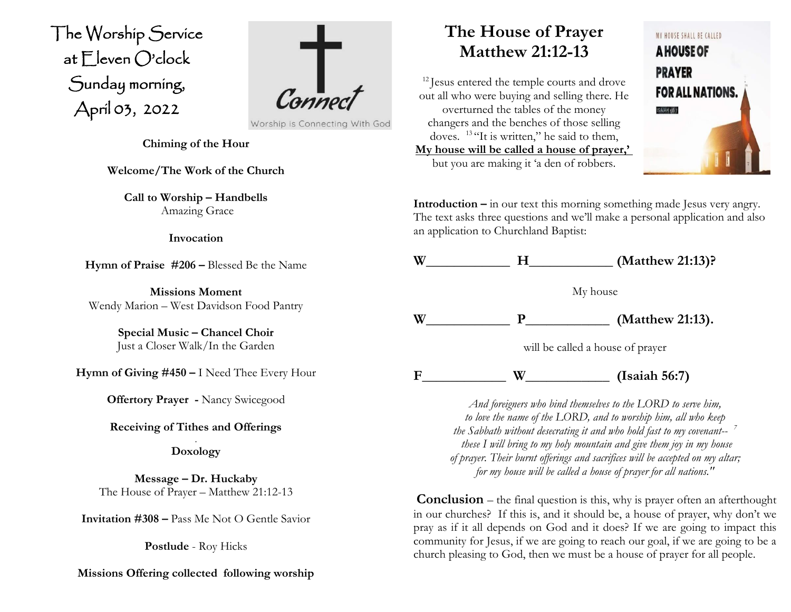The Worship Service at Eleven O'clock Sunday morning, April 03, 2022  $\overline{\phantom{a}}$ 



**Chiming of the Hour**

**Welcome/The Work of the Church**

**Call to Worship – Handbells** Amazing Grace

#### **Invocation**

**Hymn of Praise #206 –** Blessed Be the Name

**Missions Moment** Wendy Marion – West Davidson Food Pantry

> **Special Music – Chancel Choir** Just a Closer Walk/In the Garden

**Hymn of Giving #450 –** I Need Thee Every Hour

**Offertory Prayer -** Nancy Swicegood

## **Receiving of Tithes and Offerings**

. **Doxology**

**Message – Dr. Huckaby** The House of Prayer – Matthew 21:12-13

**Invitation #308 –** Pass Me Not O Gentle Savior

**Postlude** - Roy Hicks

## **Missions Offering collected following worship**

# **The House of Prayer Matthew 21:12-13**

<sup>12</sup> Jesus entered the temple courts and drove out all who were buying and selling there. He overturned the tables of the money changers and the benches of those selling doves. <sup>13 "</sup>It is written," he said to them, **My house will be called a house of prayer,'** but you are making it 'a den of robbers.



**Introduction –** in our text this morning something made Jesus very angry. The text asks three questions and we'll make a personal application and also an application to Churchland Baptist:



**F\_\_\_\_\_\_\_\_\_\_\_\_ W\_\_\_\_\_\_\_\_\_\_\_\_ (Isaiah 56:7)**

*And foreigners who bind themselves to the LORD to serve him, to love the name of the LORD, and to worship him, all who keep the Sabbath without desecrating it and who hold fast to my covenant-- 7 these I will bring to my holy mountain and give them joy in my house of prayer. Their burnt offerings and sacrifices will be accepted on my altar; for my house will be called a house of prayer for all nations."*

**Conclusion** – the final question is this, why is prayer often an afterthought in our churches? If this is, and it should be, a house of prayer, why don't we pray as if it all depends on God and it does? If we are going to impact this community for Jesus, if we are going to reach our goal, if we are going to be a church pleasing to God, then we must be a house of prayer for all people.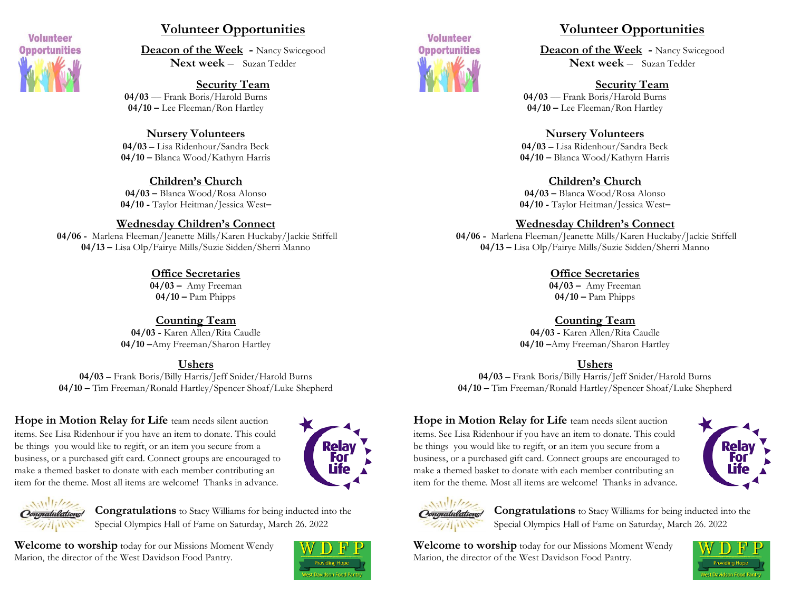

## **Volunteer Opportunities**

**Deacon of the Week -** Nancy Swicegood **Next week** – Suzan Tedder

**Security Team 04/03** –– Frank Boris/Harold Burns **04/10 –** Lee Fleeman/Ron Hartley

#### **Nursery Volunteers**

**04/03** – Lisa Ridenhour/Sandra Beck **04/10 –** Blanca Wood/Kathyrn Harris

#### **Children's Church**

**04/03 –** Blanca Wood/Rosa Alonso **04/10 -** Taylor Heitman/Jessica West**–**

#### **Wednesday Children's Connect**

**04/06 -** Marlena Fleeman/Jeanette Mills/Karen Huckaby/Jackie Stiffell **04/13 –** Lisa Olp/Fairye Mills/Suzie Sidden/Sherri Manno

#### **Office Secretaries**

**04/03 –** Amy Freeman **04/10 –** Pam Phipps

**Counting Team 04/03 -** Karen Allen/Rita Caudle **04/10 –**Amy Freeman/Sharon Hartley

#### **Ushers**

**04/03** – Frank Boris/Billy Harris/Jeff Snider/Harold Burns **04/10 –** Tim Freeman/Ronald Hartley/Spencer Shoaf/Luke Shepherd

**Hope in Motion Relay for Life** team needs silent auction items. See Lisa Ridenhour if you have an item to donate. This could be things you would like to regift, or an item you secure from a business, or a purchased gift card. Connect groups are encouraged to make a themed basket to donate with each member contributing an item for the theme. Most all items are welcome! Thanks in advance.





**Congratulations** to Stacy Williams for being inducted into the Special Olympics Hall of Fame on Saturday, March 26. 2022

**Welcome to worship** today for our Missions Moment Wendy Marion, the director of the West Davidson Food Pantry.





## **Volunteer Opportunities**

**Deacon of the Week -** Nancy Swicegood **Next week** – Suzan Tedder

## **Security Team**

**04/03** –– Frank Boris/Harold Burns **04/10 –** Lee Fleeman/Ron Hartley

#### **Nursery Volunteers**

**04/03** – Lisa Ridenhour/Sandra Beck **04/10 –** Blanca Wood/Kathyrn Harris

## **Children's Church**

**04/03 –** Blanca Wood/Rosa Alonso **04/10 -** Taylor Heitman/Jessica West**–**

#### **Wednesday Children's Connect**

**04/06 -** Marlena Fleeman/Jeanette Mills/Karen Huckaby/Jackie Stiffell **04/13 –** Lisa Olp/Fairye Mills/Suzie Sidden/Sherri Manno

## **Office Secretaries**

**04/03 –** Amy Freeman **04/10 –** Pam Phipps

## **Counting Team**

**04/03 -** Karen Allen/Rita Caudle **04/10 –**Amy Freeman/Sharon Hartley

## **Ushers**

**04/03** – Frank Boris/Billy Harris/Jeff Snider/Harold Burns **04/10 –** Tim Freeman/Ronald Hartley/Spencer Shoaf/Luke Shepherd

**Hope in Motion Relay for Life** team needs silent auction items. See Lisa Ridenhour if you have an item to donate. This could be things you would like to regift, or an item you secure from a business, or a purchased gift card. Connect groups are encouraged to make a themed basket to donate with each member contributing an item for the theme. Most all items are welcome! Thanks in advance.





**Congratulations** to Stacy Williams for being inducted into the Special Olympics Hall of Fame on Saturday, March 26. 2022

**Welcome to worship** today for our Missions Moment Wendy Marion, the director of the West Davidson Food Pantry.